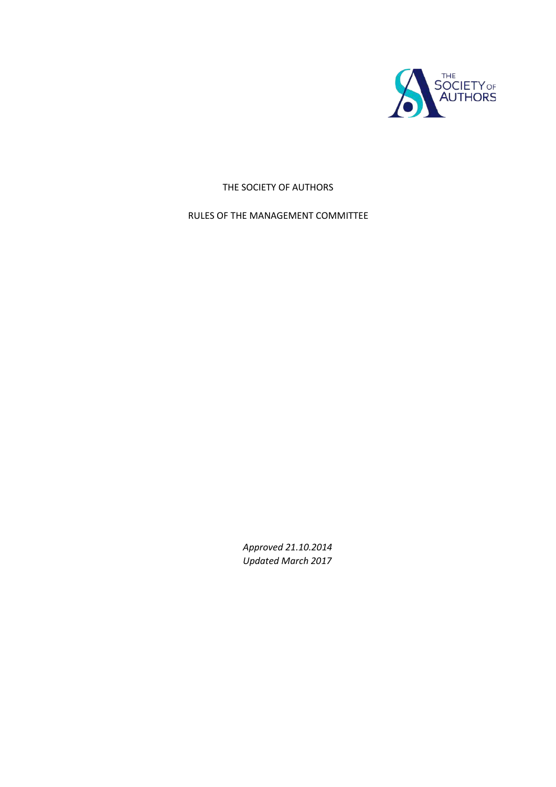

# THE SOCIETY OF AUTHORS

# RULES OF THE MANAGEMENT COMMITTEE

*Approved 21.10.2014 Updated March 2017*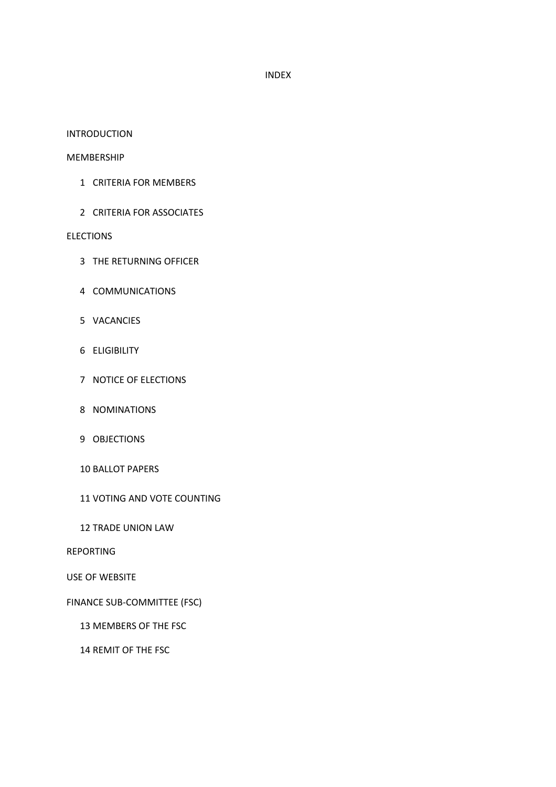#### INDEX

#### INTRODUCTION

#### MEMBERSHIP

- CRITERIA FOR MEMBERS
- CRITERIA FOR ASSOCIATES

#### **ELECTIONS**

- THE RETURNING OFFICER
- COMMUNICATIONS
- VACANCIES
- ELIGIBILITY
- NOTICE OF ELECTIONS
- NOMINATIONS
- OBJECTIONS
- BALLOT PAPERS
- VOTING AND VOTE COUNTING
- TRADE UNION LAW

### REPORTING

## USE OF WEBSITE

### FINANCE SUB-COMMITTEE (FSC)

MEMBERS OF THE FSC

# REMIT OF THE FSC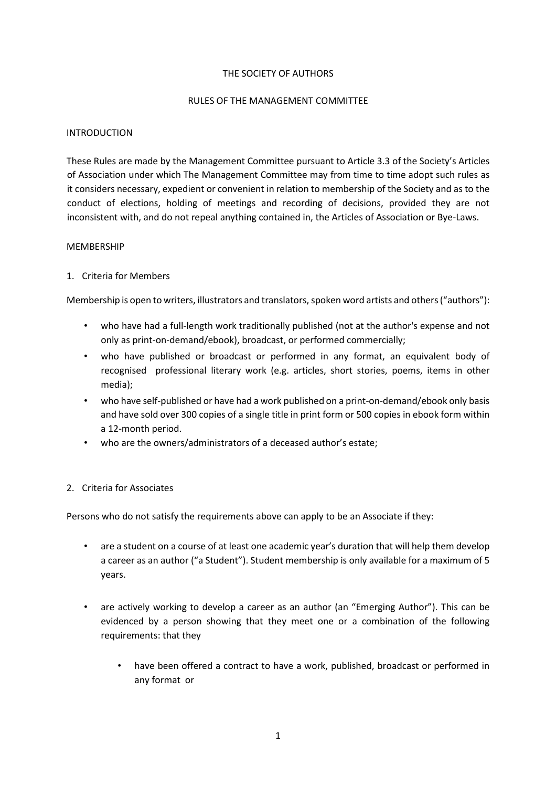## THE SOCIETY OF AUTHORS

## RULES OF THE MANAGEMENT COMMITTEE

# INTRODUCTION

These Rules are made by the Management Committee pursuant to Article 3.3 of the Society's Articles of Association under which The Management Committee may from time to time adopt such rules as it considers necessary, expedient or convenient in relation to membership of the Society and as to the conduct of elections, holding of meetings and recording of decisions, provided they are not inconsistent with, and do not repeal anything contained in, the Articles of Association or Bye-Laws.

# MEMBERSHIP

# 1. Criteria for Members

Membership is open to writers, illustrators and translators, spoken word artists and others ("authors"):

- who have had a full-length work traditionally published (not at the author's expense and not only as print-on-demand/ebook), broadcast, or performed commercially;
- who have published or broadcast or performed in any format, an equivalent body of recognised professional literary work (e.g. articles, short stories, poems, items in other media);
- who have self-published or have had a work published on a print-on-demand/ebook only basis and have sold over 300 copies of a single title in print form or 500 copies in ebook form within a 12-month period.
- who are the owners/administrators of a deceased author's estate;

### 2. Criteria for Associates

Persons who do not satisfy the requirements above can apply to be an Associate if they:

- are a student on a course of at least one academic year's duration that will help them develop a career as an author ("a Student"). Student membership is only available for a maximum of 5 years.
- are actively working to develop a career as an author (an "Emerging Author"). This can be evidenced by a person showing that they meet one or a combination of the following requirements: that they
	- have been offered a contract to have a work, published, broadcast or performed in any format or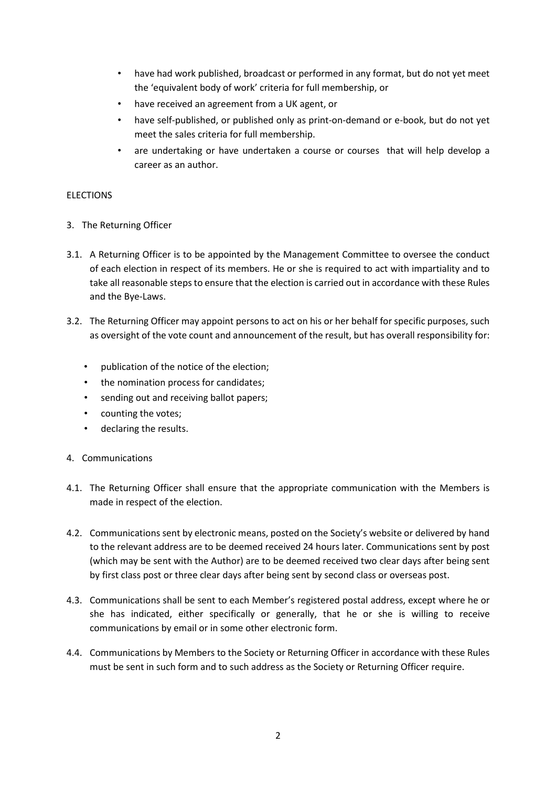- have had work published, broadcast or performed in any format, but do not yet meet the 'equivalent body of work' criteria for full membership, or
- have received an agreement from a UK agent, or
- have self-published, or published only as print-on-demand or e-book, but do not yet meet the sales criteria for full membership.
- are undertaking or have undertaken a course or courses that will help develop a career as an author.

# ELECTIONS

- 3. The Returning Officer
- 3.1. A Returning Officer is to be appointed by the Management Committee to oversee the conduct of each election in respect of its members. He or she is required to act with impartiality and to take all reasonable steps to ensure that the election is carried out in accordance with these Rules and the Bye-Laws.
- 3.2. The Returning Officer may appoint persons to act on his or her behalf for specific purposes, such as oversight of the vote count and announcement of the result, but has overall responsibility for:
	- publication of the notice of the election;
	- the nomination process for candidates;
	- sending out and receiving ballot papers;
	- counting the votes;
	- declaring the results.
- 4. Communications
- 4.1. The Returning Officer shall ensure that the appropriate communication with the Members is made in respect of the election.
- 4.2. Communications sent by electronic means, posted on the Society's website or delivered by hand to the relevant address are to be deemed received 24 hours later. Communications sent by post (which may be sent with the Author) are to be deemed received two clear days after being sent by first class post or three clear days after being sent by second class or overseas post.
- 4.3. Communications shall be sent to each Member's registered postal address, except where he or she has indicated, either specifically or generally, that he or she is willing to receive communications by email or in some other electronic form.
- 4.4. Communications by Members to the Society or Returning Officer in accordance with these Rules must be sent in such form and to such address as the Society or Returning Officer require.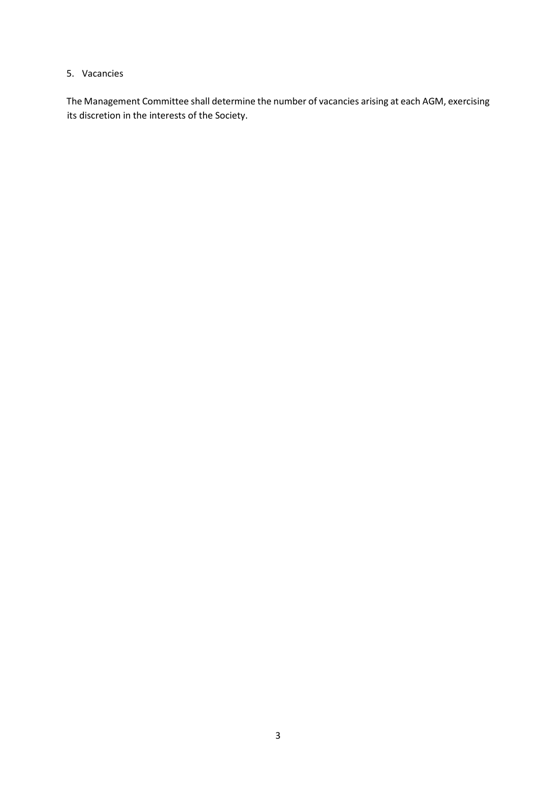# 5. Vacancies

The Management Committee shall determine the number of vacancies arising at each AGM, exercising its discretion in the interests of the Society.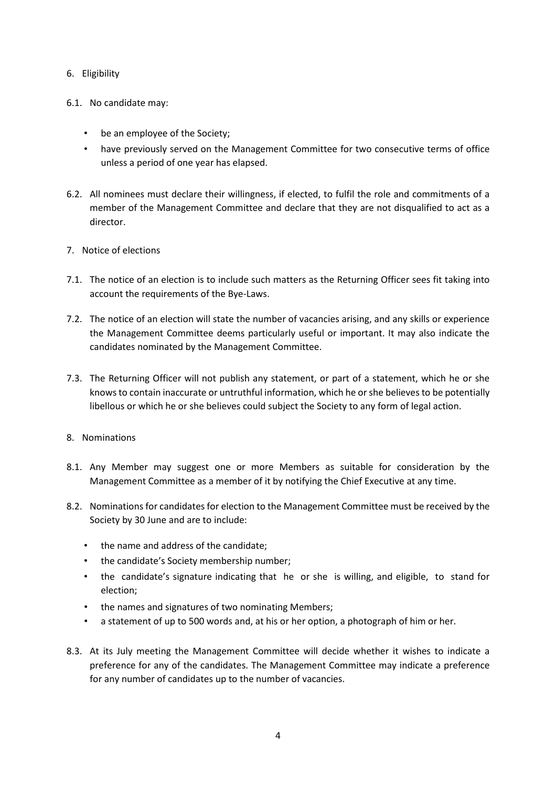# 6. Eligibility

- 6.1. No candidate may:
	- be an employee of the Society;
	- have previously served on the Management Committee for two consecutive terms of office unless a period of one year has elapsed.
- 6.2. All nominees must declare their willingness, if elected, to fulfil the role and commitments of a member of the Management Committee and declare that they are not disqualified to act as a director.
- 7. Notice of elections
- 7.1. The notice of an election is to include such matters as the Returning Officer sees fit taking into account the requirements of the Bye-Laws.
- 7.2. The notice of an election will state the number of vacancies arising, and any skills or experience the Management Committee deems particularly useful or important. It may also indicate the candidates nominated by the Management Committee.
- 7.3. The Returning Officer will not publish any statement, or part of a statement, which he or she knows to contain inaccurate or untruthful information, which he or she believes to be potentially libellous or which he or she believes could subject the Society to any form of legal action.
- 8. Nominations
- 8.1. Any Member may suggest one or more Members as suitable for consideration by the Management Committee as a member of it by notifying the Chief Executive at any time.
- 8.2. Nominations for candidates for election to the Management Committee must be received by the Society by 30 June and are to include:
	- the name and address of the candidate;
	- the candidate's Society membership number;
	- the candidate's signature indicating that he or she is willing, and eligible, to stand for election;
	- the names and signatures of two nominating Members;
	- a statement of up to 500 words and, at his or her option, a photograph of him or her.
- 8.3. At its July meeting the Management Committee will decide whether it wishes to indicate a preference for any of the candidates. The Management Committee may indicate a preference for any number of candidates up to the number of vacancies.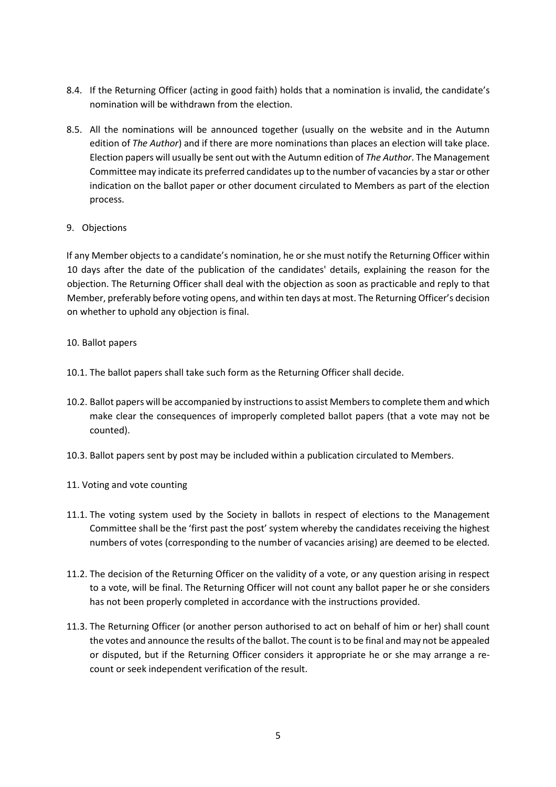- 8.4. If the Returning Officer (acting in good faith) holds that a nomination is invalid, the candidate's nomination will be withdrawn from the election.
- 8.5. All the nominations will be announced together (usually on the website and in the Autumn edition of *The Author*) and if there are more nominations than places an election will take place. Election papers will usually be sent out with the Autumn edition of *The Author*. The Management Committee may indicate its preferred candidates up to the number of vacancies by a star or other indication on the ballot paper or other document circulated to Members as part of the election process.

# 9. Objections

If any Member objects to a candidate's nomination, he or she must notify the Returning Officer within 10 days after the date of the publication of the candidates' details, explaining the reason for the objection. The Returning Officer shall deal with the objection as soon as practicable and reply to that Member, preferably before voting opens, and within ten days at most. The Returning Officer's decision on whether to uphold any objection is final.

# 10. Ballot papers

- 10.1. The ballot papers shall take such form as the Returning Officer shall decide.
- 10.2. Ballot papers will be accompanied by instructions to assist Members to complete them and which make clear the consequences of improperly completed ballot papers (that a vote may not be counted).
- 10.3. Ballot papers sent by post may be included within a publication circulated to Members.
- 11. Voting and vote counting
- 11.1. The voting system used by the Society in ballots in respect of elections to the Management Committee shall be the 'first past the post' system whereby the candidates receiving the highest numbers of votes (corresponding to the number of vacancies arising) are deemed to be elected.
- 11.2. The decision of the Returning Officer on the validity of a vote, or any question arising in respect to a vote, will be final. The Returning Officer will not count any ballot paper he or she considers has not been properly completed in accordance with the instructions provided.
- 11.3. The Returning Officer (or another person authorised to act on behalf of him or her) shall count the votes and announce the results of the ballot. The count is to be final and may not be appealed or disputed, but if the Returning Officer considers it appropriate he or she may arrange a recount or seek independent verification of the result.